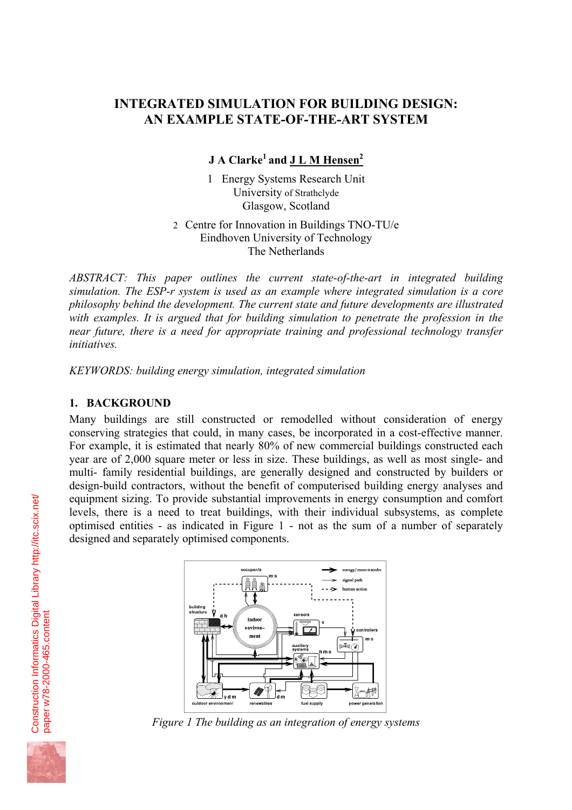# **INTEGRATED SIMULATION FOR BUILDING DESIGN: AN EXAMPLE STATE-OF-THE-ART SYSTEM**

**J A Clarke1 and J L M Hensen<sup>2</sup>**

1 Energy Systems Research Unit University of Strathclyde Glasgow, Scotland

2 Centre for Innovation in Buildings TNO-TU/e Eindhoven University of Technology The Netherlands

*ABSTRACT: This paper outlines the current state-of-the-art in integrated building simulation. The ESP-r system is used as an example where integrated simulation is a core philosophy behind the development. The current state and future developments are illustrated with examples. It is argued that for building simulation to penetrate the profession in the near future, there is a need for appropriate training and professional technology transfer initiatives.* 

*KEYWORDS: building energy simulation, integrated simulation* 

#### **1. BACKGROUND**

Many buildings are still constructed or remodelled without consideration of energy conserving strategies that could, in many cases, be incorporated in a cost-effective manner. For example, it is estimated that nearly 80% of new commercial buildings constructed each year are of 2,000 square meter or less in size. These buildings, as well as most single- and multi- family residential buildings, are generally designed and constructed by builders or design-build contractors, without the benefit of computerised building energy analyses and equipment sizing. To provide substantial improvements in energy consumption and comfort levels, there is a need to treat buildings, with their individual subsystems, as complete optimised entities - as indicated in Figure 1 - not as the sum of a number of separately designed and separately optimised components.



*Figure 1 The building as an integration of energy systems*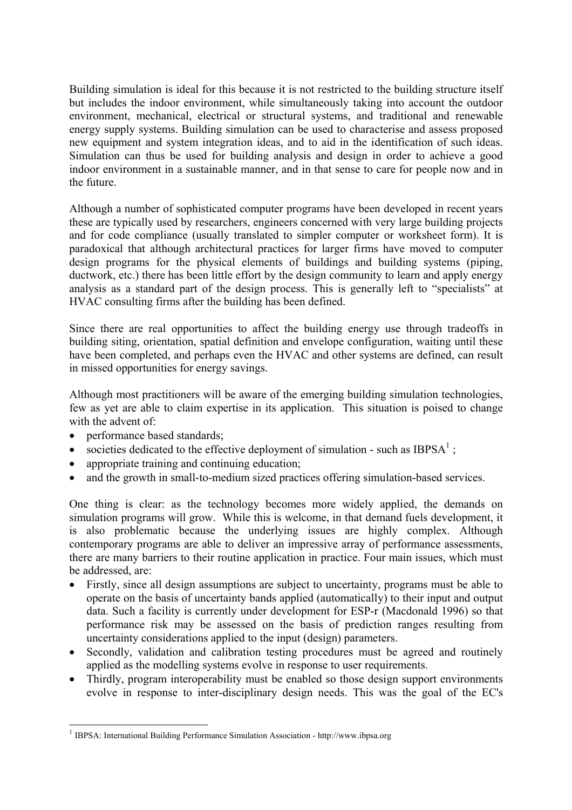Building simulation is ideal for this because it is not restricted to the building structure itself but includes the indoor environment, while simultaneously taking into account the outdoor environment, mechanical, electrical or structural systems, and traditional and renewable energy supply systems. Building simulation can be used to characterise and assess proposed new equipment and system integration ideas, and to aid in the identification of such ideas. Simulation can thus be used for building analysis and design in order to achieve a good indoor environment in a sustainable manner, and in that sense to care for people now and in the future.

Although a number of sophisticated computer programs have been developed in recent years these are typically used by researchers, engineers concerned with very large building projects and for code compliance (usually translated to simpler computer or worksheet form). It is paradoxical that although architectural practices for larger firms have moved to computer design programs for the physical elements of buildings and building systems (piping, ductwork, etc.) there has been little effort by the design community to learn and apply energy analysis as a standard part of the design process. This is generally left to "specialists" at HVAC consulting firms after the building has been defined.

Since there are real opportunities to affect the building energy use through tradeoffs in building siting, orientation, spatial definition and envelope configuration, waiting until these have been completed, and perhaps even the HVAC and other systems are defined, can result in missed opportunities for energy savings.

Although most practitioners will be aware of the emerging building simulation technologies, few as yet are able to claim expertise in its application. This situation is poised to change with the advent of:

• performance based standards;

l

- societies dedicated to the effective deployment of simulation such as  $IBPSA<sup>1</sup>$ ;
- appropriate training and continuing education;
- and the growth in small-to-medium sized practices offering simulation-based services.

One thing is clear: as the technology becomes more widely applied, the demands on simulation programs will grow. While this is welcome, in that demand fuels development, it is also problematic because the underlying issues are highly complex. Although contemporary programs are able to deliver an impressive array of performance assessments, there are many barriers to their routine application in practice. Four main issues, which must be addressed, are:

- Firstly, since all design assumptions are subject to uncertainty, programs must be able to operate on the basis of uncertainty bands applied (automatically) to their input and output data. Such a facility is currently under development for ESP-r (Macdonald 1996) so that performance risk may be assessed on the basis of prediction ranges resulting from uncertainty considerations applied to the input (design) parameters.
- Secondly, validation and calibration testing procedures must be agreed and routinely applied as the modelling systems evolve in response to user requirements.
- Thirdly, program interoperability must be enabled so those design support environments evolve in response to inter-disciplinary design needs. This was the goal of the EC's

<sup>1</sup> IBPSA: International Building Performance Simulation Association - http://www.ibpsa.org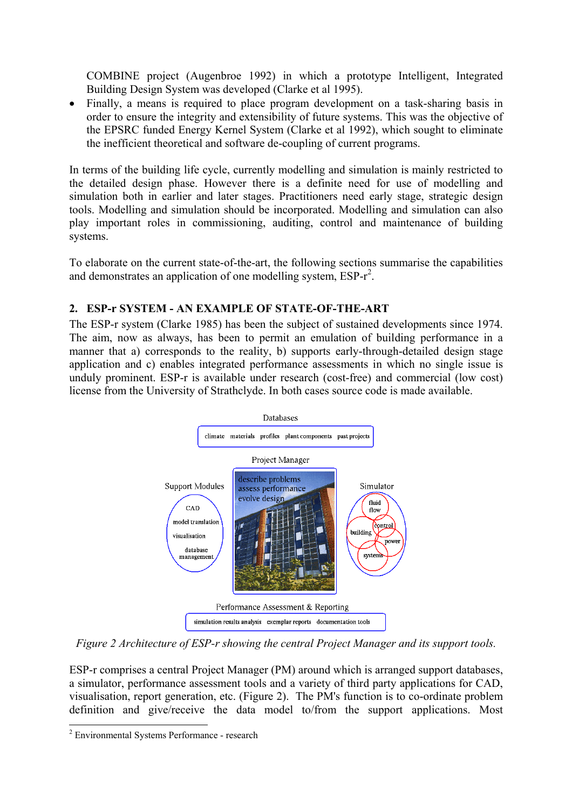COMBINE project (Augenbroe 1992) in which a prototype Intelligent, Integrated Building Design System was developed (Clarke et al 1995).

• Finally, a means is required to place program development on a task-sharing basis in order to ensure the integrity and extensibility of future systems. This was the objective of the EPSRC funded Energy Kernel System (Clarke et al 1992), which sought to eliminate the inefficient theoretical and software de-coupling of current programs.

In terms of the building life cycle, currently modelling and simulation is mainly restricted to the detailed design phase. However there is a definite need for use of modelling and simulation both in earlier and later stages. Practitioners need early stage, strategic design tools. Modelling and simulation should be incorporated. Modelling and simulation can also play important roles in commissioning, auditing, control and maintenance of building systems.

To elaborate on the current state-of-the-art, the following sections summarise the capabilities and demonstrates an application of one modelling system,  $ESP-r^2$ .

## **2. ESP-r SYSTEM - AN EXAMPLE OF STATE-OF-THE-ART**

The ESP-r system (Clarke 1985) has been the subject of sustained developments since 1974. The aim, now as always, has been to permit an emulation of building performance in a manner that a) corresponds to the reality, b) supports early-through-detailed design stage application and c) enables integrated performance assessments in which no single issue is unduly prominent. ESP-r is available under research (cost-free) and commercial (low cost) license from the University of Strathclyde. In both cases source code is made available.



*Figure 2 Architecture of ESP-r showing the central Project Manager and its support tools.* 

ESP-r comprises a central Project Manager (PM) around which is arranged support databases, a simulator, performance assessment tools and a variety of third party applications for CAD, visualisation, report generation, etc. (Figure 2). The PM's function is to co-ordinate problem definition and give/receive the data model to/from the support applications. Most

<sup>&</sup>lt;sup>2</sup> Environmental Systems Performance - research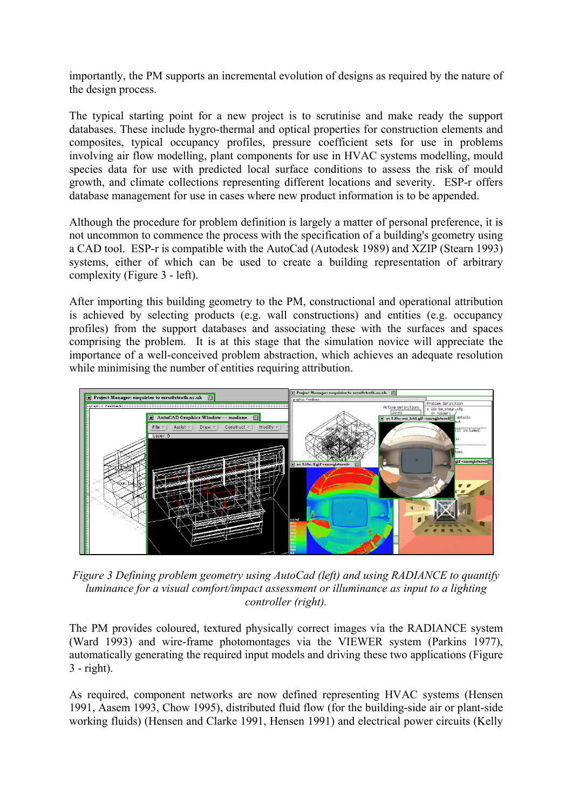importantly, the PM supports an incremental evolution of designs as required by the nature of the design process.

The typical starting point for a new project is to scrutinise and make ready the support databases. These include hygro-thermal and optical properties for construction elements and composites, typical occupancy profiles, pressure coefficient sets for use in problems involving air flow modelling, plant components for use in HVAC systems modelling, mould species data for use with predicted local surface conditions to assess the risk of mould growth, and climate collections representing different locations and severity. ESP-r offers database management for use in cases where new product information is to be appended.

Although the procedure for problem definition is largely a matter of personal preference, it is not uncommon to commence the process with the specification of a building's geometry using a CAD tool. ESP-r is compatible with the AutoCad (Autodesk 1989) and XZIP (Stearn 1993) systems, either of which can be used to create a building representation of arbitrary complexity (Figure 3 - left).

After importing this building geometry to the PM, constructional and operational attribution is achieved by selecting products (e.g. wall constructions) and entities (e.g. occupancy profiles) from the support databases and associating these with the surfaces and spaces comprising the problem. It is at this stage that the simulation novice will appreciate the importance of a well-conceived problem abstraction, which achieves an adequate resolution while minimising the number of entities requiring attribution.



*Figure 3 Defining problem geometry using AutoCad (left) and using RADIANCE to quantify controller (right). luminance for a visual comfort/impact assessment or illuminance as input to a lighting* 

The PM provides coloured, textured physically correct images via the RADIANCE system (Ward 1993) and wire-frame photomontages via the VIEWER system (Parkins 1977), automatically generating the required input models and driving these two applications (Figure 3 - right).

As required, component networks are now defined representing HVAC systems (Hensen 1991, Aasem 1993, Chow 1995), distributed fluid flow (for the building-side air or plant-side working fluids) (Hensen and Clarke 1991, Hensen 1991) and electrical power circuits (Kelly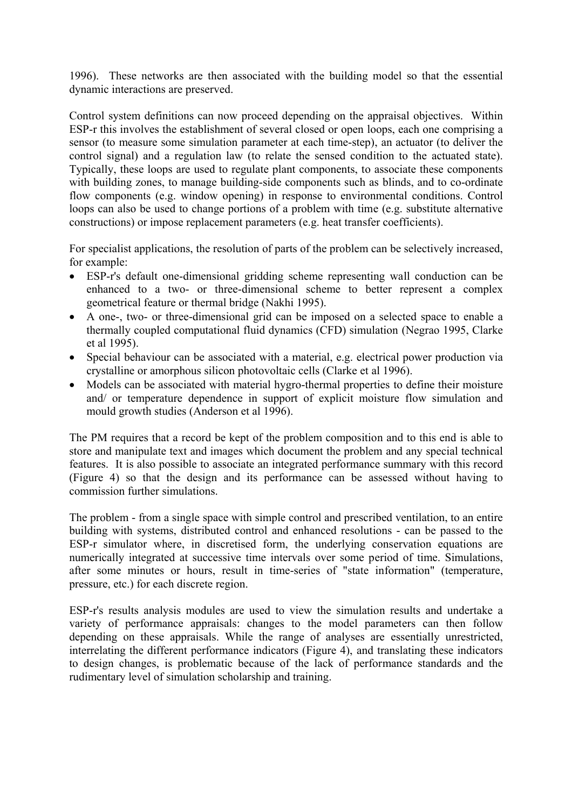1996). These networks are then associated with the building model so that the essential dynamic interactions are preserved.

Control system definitions can now proceed depending on the appraisal objectives. Within ESP-r this involves the establishment of several closed or open loops, each one comprising a sensor (to measure some simulation parameter at each time-step), an actuator (to deliver the control signal) and a regulation law (to relate the sensed condition to the actuated state). Typically, these loops are used to regulate plant components, to associate these components with building zones, to manage building-side components such as blinds, and to co-ordinate flow components (e.g. window opening) in response to environmental conditions. Control loops can also be used to change portions of a problem with time (e.g. substitute alternative constructions) or impose replacement parameters (e.g. heat transfer coefficients).

For specialist applications, the resolution of parts of the problem can be selectively increased, for example:

- ESP-r's default one-dimensional gridding scheme representing wall conduction can be enhanced to a two- or three-dimensional scheme to better represent a complex geometrical feature or thermal bridge (Nakhi 1995).
- A one-, two- or three-dimensional grid can be imposed on a selected space to enable a thermally coupled computational fluid dynamics (CFD) simulation (Negrao 1995, Clarke et al 1995).
- Special behaviour can be associated with a material, e.g. electrical power production via crystalline or amorphous silicon photovoltaic cells (Clarke et al 1996).
- Models can be associated with material hygro-thermal properties to define their moisture and/ or temperature dependence in support of explicit moisture flow simulation and mould growth studies (Anderson et al 1996).

The PM requires that a record be kept of the problem composition and to this end is able to store and manipulate text and images which document the problem and any special technical features. It is also possible to associate an integrated performance summary with this record (Figure 4) so that the design and its performance can be assessed without having to commission further simulations.

The problem - from a single space with simple control and prescribed ventilation, to an entire building with systems, distributed control and enhanced resolutions - can be passed to the ESP-r simulator where, in discretised form, the underlying conservation equations are numerically integrated at successive time intervals over some period of time. Simulations, after some minutes or hours, result in time-series of "state information" (temperature, pressure, etc.) for each discrete region.

ESP-r's results analysis modules are used to view the simulation results and undertake a variety of performance appraisals: changes to the model parameters can then follow depending on these appraisals. While the range of analyses are essentially unrestricted, interrelating the different performance indicators (Figure 4), and translating these indicators to design changes, is problematic because of the lack of performance standards and the rudimentary level of simulation scholarship and training.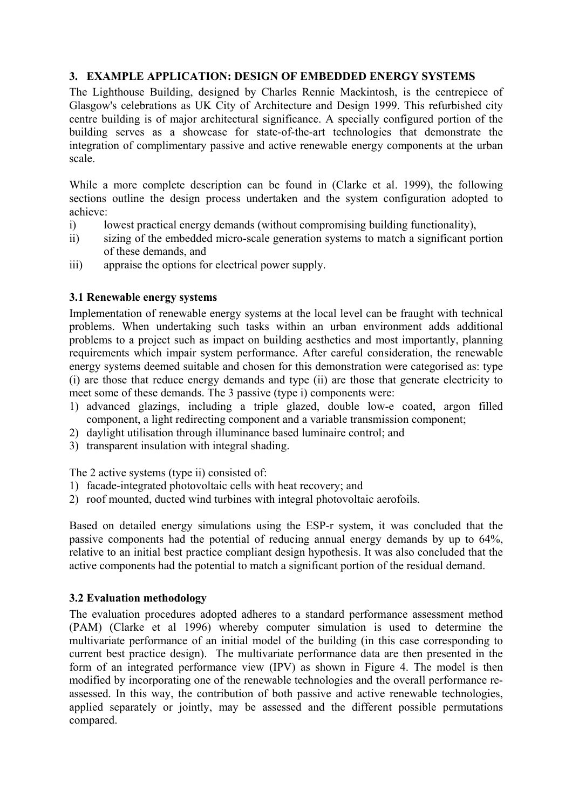## **3. EXAMPLE APPLICATION: DESIGN OF EMBEDDED ENERGY SYSTEMS**

The Lighthouse Building, designed by Charles Rennie Mackintosh, is the centrepiece of Glasgow's celebrations as UK City of Architecture and Design 1999. This refurbished city centre building is of major architectural significance. A specially configured portion of the building serves as a showcase for state-of-the-art technologies that demonstrate the integration of complimentary passive and active renewable energy components at the urban scale.

While a more complete description can be found in (Clarke et al. 1999), the following sections outline the design process undertaken and the system configuration adopted to achieve:

- i) lowest practical energy demands (without compromising building functionality),
- ii) sizing of the embedded micro-scale generation systems to match a significant portion of these demands, and
- iii) appraise the options for electrical power supply.

## **3.1 Renewable energy systems**

Implementation of renewable energy systems at the local level can be fraught with technical problems. When undertaking such tasks within an urban environment adds additional problems to a project such as impact on building aesthetics and most importantly, planning requirements which impair system performance. After careful consideration, the renewable energy systems deemed suitable and chosen for this demonstration were categorised as: type (i) are those that reduce energy demands and type (ii) are those that generate electricity to meet some of these demands. The 3 passive (type i) components were:

- 1) advanced glazings, including a triple glazed, double low-e coated, argon filled component, a light redirecting component and a variable transmission component;
- 2) daylight utilisation through illuminance based luminaire control; and
- 3) transparent insulation with integral shading.

The 2 active systems (type ii) consisted of:

- 1) facade-integrated photovoltaic cells with heat recovery; and
- 2) roof mounted, ducted wind turbines with integral photovoltaic aerofoils.

Based on detailed energy simulations using the ESP-r system, it was concluded that the passive components had the potential of reducing annual energy demands by up to 64%, relative to an initial best practice compliant design hypothesis. It was also concluded that the active components had the potential to match a significant portion of the residual demand.

## **3.2 Evaluation methodology**

The evaluation procedures adopted adheres to a standard performance assessment method (PAM) (Clarke et al 1996) whereby computer simulation is used to determine the multivariate performance of an initial model of the building (in this case corresponding to current best practice design). The multivariate performance data are then presented in the form of an integrated performance view (IPV) as shown in Figure 4. The model is then modified by incorporating one of the renewable technologies and the overall performance reassessed. In this way, the contribution of both passive and active renewable technologies, applied separately or jointly, may be assessed and the different possible permutations compared.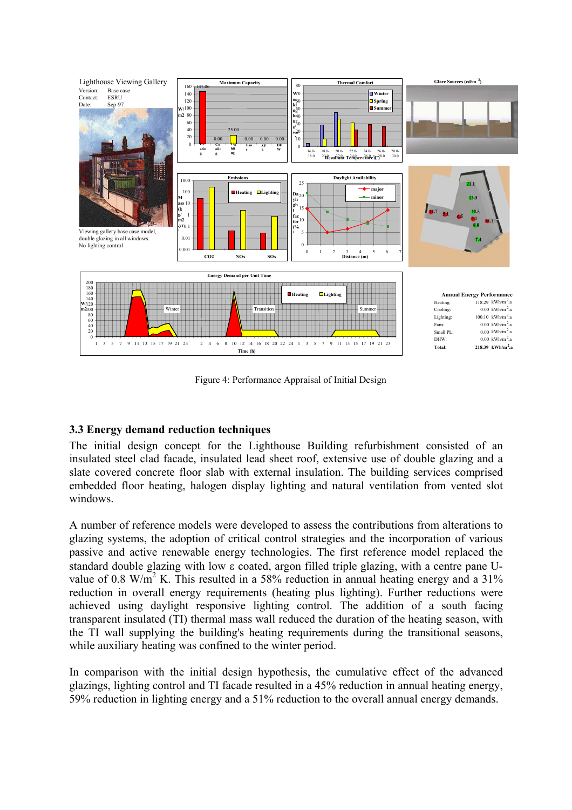

Figure 4: Performance Appraisal of Initial Design

## **3.3 Energy demand reduction techniques**

The initial design concept for the Lighthouse Building refurbishment consisted of an insulated steel clad facade, insulated lead sheet roof, extensive use of double glazing and a slate covered concrete floor slab with external insulation. The building services comprised embedded floor heating, halogen display lighting and natural ventilation from vented slot windows.

A number of reference models were developed to assess the contributions from alterations to glazing systems, the adoption of critical control strategies and the incorporation of various passive and active renewable energy technologies. The first reference model replaced the standard double glazing with low ε coated, argon filled triple glazing, with a centre pane Uvalue of 0.8 W/m<sup>2</sup> K. This resulted in a 58% reduction in annual heating energy and a 31% reduction in overall energy requirements (heating plus lighting). Further reductions were achieved using daylight responsive lighting control. The addition of a south facing transparent insulated (TI) thermal mass wall reduced the duration of the heating season, with the TI wall supplying the building's heating requirements during the transitional seasons, while auxiliary heating was confined to the winter period.

In comparison with the initial design hypothesis, the cumulative effect of the advanced glazings, lighting control and TI facade resulted in a 45% reduction in annual heating energy, 59% reduction in lighting energy and a 51% reduction to the overall annual energy demands.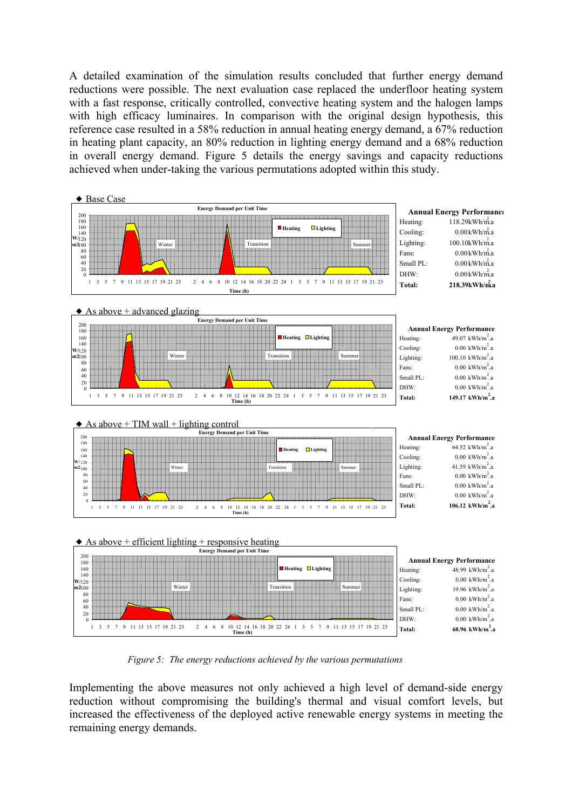A detailed examination of the simulation results concluded that further energy demand reductions were possible. The next evaluation case replaced the underfloor heating system with a fast response, critically controlled, convective heating system and the halogen lamps with high efficacy luminaires. In comparison with the original design hypothesis, this reference case resulted in a 58% reduction in annual heating energy demand, a 67% reduction in heating plant capacity, an 80% reduction in lighting energy demand and a 68% reduction in overall energy demand. Figure 5 details the energy savings and capacity reductions achieved when under-taking the various permutations adopted within this study.



*Figure 5: The energy reductions achieved by the various permutations*

Implementing the above measures not only achieved a high level of demand-side energy reduction without compromising the building's thermal and visual comfort levels, but increased the effectiveness of the deployed active renewable energy systems in meeting the remaining energy demands.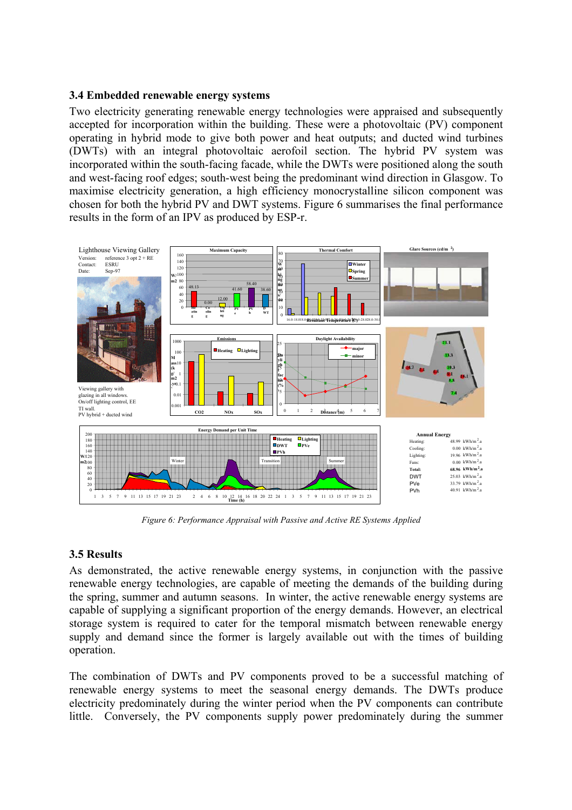#### **3.4 Embedded renewable energy systems**

Two electricity generating renewable energy technologies were appraised and subsequently accepted for incorporation within the building. These were a photovoltaic (PV) component operating in hybrid mode to give both power and heat outputs; and ducted wind turbines (DWTs) with an integral photovoltaic aerofoil section. The hybrid PV system was incorporated within the south-facing facade, while the DWTs were positioned along the south and west-facing roof edges; south-west being the predominant wind direction in Glasgow. To maximise electricity generation, a high efficiency monocrystalline silicon component was chosen for both the hybrid PV and DWT systems. Figure 6 summarises the final performance results in the form of an IPV as produced by ESP-r.



*Figure 6: Performance Appraisal with Passive and Active RE Systems Applied*

## **3.5 Results**

As demonstrated, the active renewable energy systems, in conjunction with the passive renewable energy technologies, are capable of meeting the demands of the building during the spring, summer and autumn seasons. In winter, the active renewable energy systems are capable of supplying a significant proportion of the energy demands. However, an electrical storage system is required to cater for the temporal mismatch between renewable energy supply and demand since the former is largely available out with the times of building operation.

The combination of DWTs and PV components proved to be a successful matching of renewable energy systems to meet the seasonal energy demands. The DWTs produce electricity predominately during the winter period when the PV components can contribute little. Conversely, the PV components supply power predominately during the summer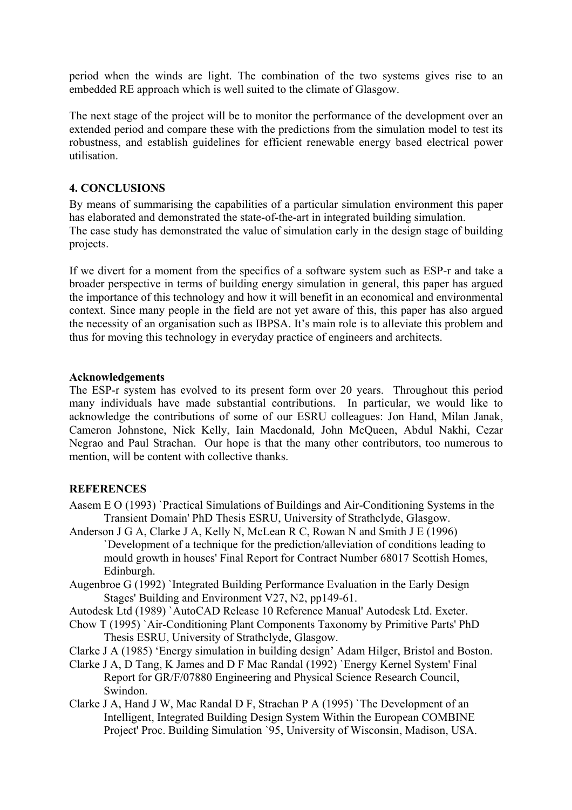period when the winds are light. The combination of the two systems gives rise to an embedded RE approach which is well suited to the climate of Glasgow.

The next stage of the project will be to monitor the performance of the development over an extended period and compare these with the predictions from the simulation model to test its robustness, and establish guidelines for efficient renewable energy based electrical power utilisation.

## **4. CONCLUSIONS**

By means of summarising the capabilities of a particular simulation environment this paper has elaborated and demonstrated the state-of-the-art in integrated building simulation. The case study has demonstrated the value of simulation early in the design stage of building projects.

If we divert for a moment from the specifics of a software system such as ESP-r and take a broader perspective in terms of building energy simulation in general, this paper has argued the importance of this technology and how it will benefit in an economical and environmental context. Since many people in the field are not yet aware of this, this paper has also argued the necessity of an organisation such as IBPSA. It's main role is to alleviate this problem and thus for moving this technology in everyday practice of engineers and architects.

#### **Acknowledgements**

The ESP-r system has evolved to its present form over 20 years. Throughout this period many individuals have made substantial contributions. In particular, we would like to acknowledge the contributions of some of our ESRU colleagues: Jon Hand, Milan Janak, Cameron Johnstone, Nick Kelly, Iain Macdonald, John McQueen, Abdul Nakhi, Cezar Negrao and Paul Strachan. Our hope is that the many other contributors, too numerous to mention, will be content with collective thanks.

## **REFERENCES**

- Aasem E O (1993) `Practical Simulations of Buildings and Air-Conditioning Systems in the Transient Domain' PhD Thesis ESRU, University of Strathclyde, Glasgow.
- Anderson J G A, Clarke J A, Kelly N, McLean R C, Rowan N and Smith J E (1996) `Development of a technique for the prediction/alleviation of conditions leading to mould growth in houses' Final Report for Contract Number 68017 Scottish Homes, Edinburgh.
- Augenbroe G (1992) `Integrated Building Performance Evaluation in the Early Design Stages' Building and Environment V27, N2, pp149-61.
- Autodesk Ltd (1989) `AutoCAD Release 10 Reference Manual' Autodesk Ltd. Exeter.
- Chow T (1995) `Air-Conditioning Plant Components Taxonomy by Primitive Parts' PhD Thesis ESRU, University of Strathclyde, Glasgow.
- Clarke J A (1985) 'Energy simulation in building design' Adam Hilger, Bristol and Boston.
- Clarke J A, D Tang, K James and D F Mac Randal (1992) `Energy Kernel System' Final Report for GR/F/07880 Engineering and Physical Science Research Council, Swindon.
- Clarke J A, Hand J W, Mac Randal D F, Strachan P A (1995) `The Development of an Intelligent, Integrated Building Design System Within the European COMBINE Project' Proc. Building Simulation `95, University of Wisconsin, Madison, USA.